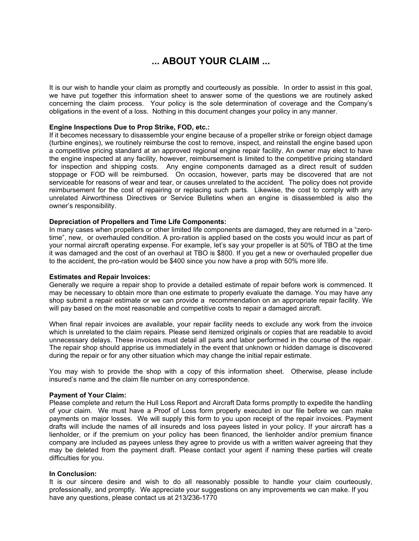### **... ABOUT YOUR CLAIM ...**

It is our wish to handle your claim as promptly and courteously as possible. In order to assist in this goal, we have put together this information sheet to answer some of the questions we are routinely asked concerning the claim process. Your policy is the sole determination of coverage and the Company's obligations in the event of a loss. Nothing in this document changes your policy in any manner.

#### **Engine Inspections Due to Prop Strike, FOD, etc.:**

If it becomes necessary to disassemble your engine because of a propeller strike or foreign object damage (turbine engines), we routinely reimburse the cost to remove, inspect, and reinstall the engine based upon a competitive pricing standard at an approved regional engine repair facility. An owner may elect to have the engine inspected at any facility, however, reimbursement is limited to the competitive pricing standard for inspection and shipping costs. Any engine components damaged as a direct result of sudden stoppage or FOD will be reimbursed. On occasion, however, parts may be discovered that are not serviceable for reasons of wear and tear, or causes unrelated to the accident. The policy does not provide reimbursement for the cost of repairing or replacing such parts. Likewise, the cost to comply with any unrelated Airworthiness Directives or Service Bulletins when an engine is disassembled is also the owner's responsibility.

#### **Depreciation of Propellers and Time Life Components:**

In many cases when propellers or other limited life components are damaged, they are returned in a "zerotime", new, or overhauled condition. A pro-ration is applied based on the costs you would incur as part of your normal aircraft operating expense. For example, let's say your propeller is at 50% of TBO at the time it was damaged and the cost of an overhaul at TBO is \$800. If you get a new or overhauled propeller due to the accident, the pro-ration would be \$400 since you now have a prop with 50% more life.

#### **Estimates and Repair Invoices:**

Generally we require a repair shop to provide a detailed estimate of repair before work is commenced. It may be necessary to obtain more than one estimate to properly evaluate the damage. You may have any shop submit a repair estimate or we can provide a recommendation on an appropriate repair facility. We will pay based on the most reasonable and competitive costs to repair a damaged aircraft.

When final repair invoices are available, your repair facility needs to exclude any work from the invoice which is unrelated to the claim repairs. Please send itemized originals or copies that are readable to avoid unnecessary delays. These invoices must detail all parts and labor performed in the course of the repair. The repair shop should apprise us immediately in the event that unknown or hidden damage is discovered during the repair or for any other situation which may change the initial repair estimate.

You may wish to provide the shop with a copy of this information sheet. Otherwise, please include insured's name and the claim file number on any correspondence.

#### **Payment of Your Claim:**

Please complete and return the Hull Loss Report and Aircraft Data forms promptly to expedite the handling of your claim. We must have a Proof of Loss form properly executed in our file before we can make payments on major losses. We will supply this form to you upon receipt of the repair invoices. Payment drafts will include the names of all insureds and loss payees listed in your policy. If your aircraft has a lienholder, or if the premium on your policy has been financed, the lienholder and/or premium finance company are included as payees unless they agree to provide us with a written waiver agreeing that they may be deleted from the payment draft. Please contact your agent if naming these parties will create difficulties for you.

#### **In Conclusion:**

It is our sincere desire and wish to do all reasonably possible to handle your claim courteously, professionally, and promptly. We appreciate your suggestions on any improvements we can make. If you have any questions, please contact us at 213/236-1770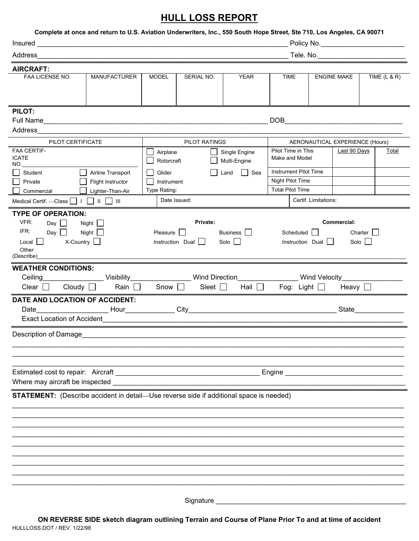## **HULL LOSS REPORT**

| Complete at once and return to U.S. Aviation Underwriters, Inc., 550 South Hope Street, Ste 710, Los Angeles, CA 90071             |                |                                                      |                                              |                                                |                                                                                          |                    |                                                                            |                                 |                |  |  |  |
|------------------------------------------------------------------------------------------------------------------------------------|----------------|------------------------------------------------------|----------------------------------------------|------------------------------------------------|------------------------------------------------------------------------------------------|--------------------|----------------------------------------------------------------------------|---------------------------------|----------------|--|--|--|
| Address<br>_ Tele. No.______________________________                                                                               |                |                                                      |                                              |                                                |                                                                                          |                    |                                                                            |                                 |                |  |  |  |
| <b>AIRCRAFT:</b>                                                                                                                   |                |                                                      |                                              |                                                |                                                                                          |                    |                                                                            |                                 |                |  |  |  |
| FAA LICENSE NO.                                                                                                                    | MANUFACTURER   | <b>MODEL</b>                                         | SERIAL NO.                                   | <b>YEAR</b>                                    | TIME                                                                                     | <b>ENGINE MAKE</b> |                                                                            |                                 | TIME $(L & R)$ |  |  |  |
| PILOT:<br>Address                                                                                                                  |                |                                                      |                                              |                                                | <b>DOB</b>                                                                               |                    | <u> 1989 - Johann John Stone, market fan de Amerikaanske kommunister (</u> |                                 |                |  |  |  |
| PILOT CERTIFICATE                                                                                                                  |                |                                                      |                                              | PILOT RATINGS                                  |                                                                                          |                    |                                                                            | AERONAUTICAL EXPERIENCE (Hours) |                |  |  |  |
| <b>FAA CERTIF-</b><br><b>ICATE</b><br>NO.<br>Airline Transport<br>Student<br>Flight Instructor<br>Private                          |                | Airplane<br>Rotorcraft<br>Glider<br>ΙI<br>Instrument |                                              | Single Engine<br>Multi-Engine<br>□ Sea<br>Land | Pilot Time in This<br>Make and Model<br><b>Instrument Pilot Time</b><br>Night Pilot Time |                    | Last 90 Days                                                               |                                 | Total          |  |  |  |
| Lighter-Than-Air<br>Commercial                                                                                                     |                | Type Rating:                                         |                                              |                                                | <b>Total Pilot Time</b>                                                                  |                    |                                                                            |                                 |                |  |  |  |
| Medical Certif. - Class $\Box$ $\Box$ $\Box$ $\Box$ $\Box$ $\Box$                                                                  |                | Date Issued:                                         |                                              |                                                | Certif. Limitations:                                                                     |                    |                                                                            |                                 |                |  |  |  |
| VFR:<br>Day $\Box$<br>Night $\square$<br>IFR:<br>Night $\Box$<br>Day $\Box$<br>$X$ -Country $\Box$<br>Local<br>Other<br>(Describe) |                | Pleasure                                             | Private:<br>Instruction Dual                 | Business  <br>Solo                             | Scheduled $\Box$<br>Instruction Dual $\Box$                                              |                    | Commercial:                                                                | Charter $\Box$<br>Solo          |                |  |  |  |
| <b>WEATHER CONDITIONS:</b><br><b>Ceiling Communication</b><br>Clear $\Box$ Cloudy $\Box$<br>DATE AND LOCATION OF ACCIDENT:         | Rain $\square$ | Snow $\square$                                       | Visibility Wind Direction<br>Sleet $\square$ | Hail $\Box$                                    | Fog: Light $\Box$                                                                        | Wind Velocity      | Heavy $\Box$                                                               |                                 |                |  |  |  |
| Exact Location of Accident                                                                                                         |                |                                                      |                                              |                                                |                                                                                          |                    | State <b>State</b>                                                         |                                 |                |  |  |  |
| Description of Damage                                                                                                              |                |                                                      |                                              |                                                |                                                                                          |                    |                                                                            |                                 |                |  |  |  |
|                                                                                                                                    |                |                                                      |                                              |                                                |                                                                                          |                    |                                                                            |                                 |                |  |  |  |
| STATEMENT: (Describe accident in detail-Use reverse side if additional space is needed)                                            |                |                                                      |                                              |                                                |                                                                                          |                    |                                                                            |                                 |                |  |  |  |
|                                                                                                                                    |                |                                                      |                                              |                                                |                                                                                          |                    |                                                                            |                                 |                |  |  |  |
|                                                                                                                                    |                |                                                      |                                              |                                                |                                                                                          |                    |                                                                            |                                 |                |  |  |  |
|                                                                                                                                    |                |                                                      | Signature _                                  |                                                |                                                                                          |                    |                                                                            |                                 |                |  |  |  |

HULLLOSS.DOT / REV. 1/22/98 **ON REVERSE SIDE sketch diagram outlining Terrain and Course of Plane Prior To and at time of accident**